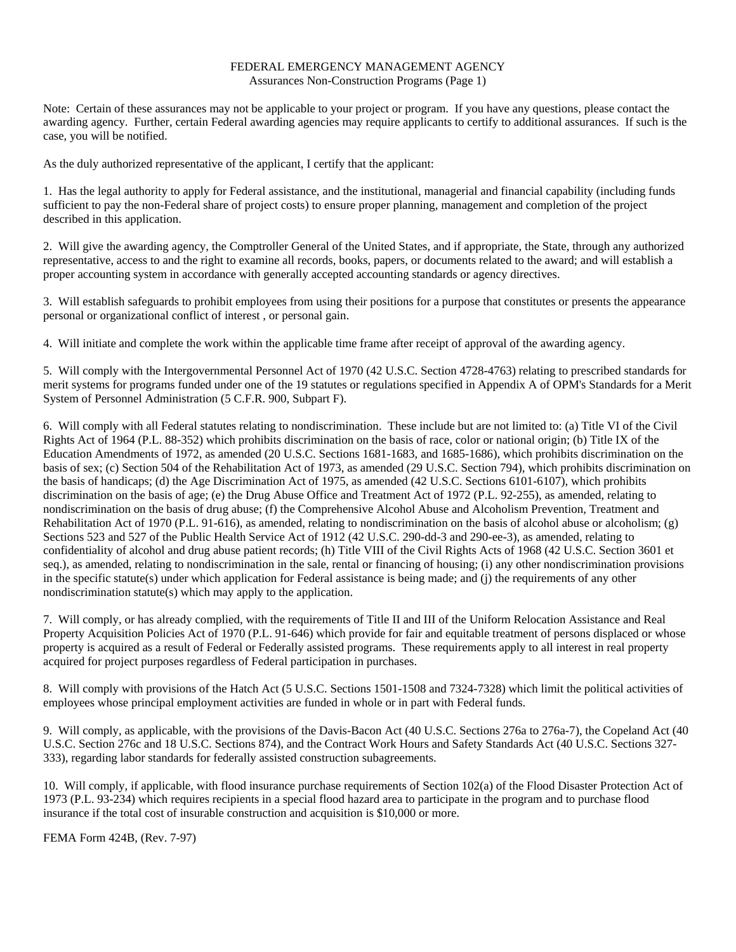## FEDERAL EMERGENCY MANAGEMENT AGENCY Assurances Non-Construction Programs (Page 1)

Note: Certain of these assurances may not be applicable to your project or program. If you have any questions, please contact the awarding agency. Further, certain Federal awarding agencies may require applicants to certify to additional assurances. If such is the case, you will be notified.

As the duly authorized representative of the applicant, I certify that the applicant:

1. Has the legal authority to apply for Federal assistance, and the institutional, managerial and financial capability (including funds sufficient to pay the non-Federal share of project costs) to ensure proper planning, management and completion of the project described in this application.

2. Will give the awarding agency, the Comptroller General of the United States, and if appropriate, the State, through any authorized representative, access to and the right to examine all records, books, papers, or documents related to the award; and will establish a proper accounting system in accordance with generally accepted accounting standards or agency directives.

3. Will establish safeguards to prohibit employees from using their positions for a purpose that constitutes or presents the appearance personal or organizational conflict of interest , or personal gain.

4. Will initiate and complete the work within the applicable time frame after receipt of approval of the awarding agency.

5. Will comply with the Intergovernmental Personnel Act of 1970 (42 U.S.C. Section 4728-4763) relating to prescribed standards for merit systems for programs funded under one of the 19 statutes or regulations specified in Appendix A of OPM's Standards for a Merit System of Personnel Administration (5 C.F.R. 900, Subpart F).

6. Will comply with all Federal statutes relating to nondiscrimination. These include but are not limited to: (a) Title VI of the Civil Rights Act of 1964 (P.L. 88-352) which prohibits discrimination on the basis of race, color or national origin; (b) Title IX of the Education Amendments of 1972, as amended (20 U.S.C. Sections 1681-1683, and 1685-1686), which prohibits discrimination on the basis of sex; (c) Section 504 of the Rehabilitation Act of 1973, as amended (29 U.S.C. Section 794), which prohibits discrimination on the basis of handicaps; (d) the Age Discrimination Act of 1975, as amended (42 U.S.C. Sections 6101-6107), which prohibits discrimination on the basis of age; (e) the Drug Abuse Office and Treatment Act of 1972 (P.L. 92-255), as amended, relating to nondiscrimination on the basis of drug abuse; (f) the Comprehensive Alcohol Abuse and Alcoholism Prevention, Treatment and Rehabilitation Act of 1970 (P.L. 91-616), as amended, relating to nondiscrimination on the basis of alcohol abuse or alcoholism; (g) Sections 523 and 527 of the Public Health Service Act of 1912 (42 U.S.C. 290-dd-3 and 290-ee-3), as amended, relating to confidentiality of alcohol and drug abuse patient records; (h) Title VIII of the Civil Rights Acts of 1968 (42 U.S.C. Section 3601 et seq.), as amended, relating to nondiscrimination in the sale, rental or financing of housing; (i) any other nondiscrimination provisions in the specific statute(s) under which application for Federal assistance is being made; and (j) the requirements of any other nondiscrimination statute(s) which may apply to the application.

7. Will comply, or has already complied, with the requirements of Title II and III of the Uniform Relocation Assistance and Real Property Acquisition Policies Act of 1970 (P.L. 91-646) which provide for fair and equitable treatment of persons displaced or whose property is acquired as a result of Federal or Federally assisted programs. These requirements apply to all interest in real property acquired for project purposes regardless of Federal participation in purchases.

8. Will comply with provisions of the Hatch Act (5 U.S.C. Sections 1501-1508 and 7324-7328) which limit the political activities of employees whose principal employment activities are funded in whole or in part with Federal funds.

9. Will comply, as applicable, with the provisions of the Davis-Bacon Act (40 U.S.C. Sections 276a to 276a-7), the Copeland Act (40 U.S.C. Section 276c and 18 U.S.C. Sections 874), and the Contract Work Hours and Safety Standards Act (40 U.S.C. Sections 327- 333), regarding labor standards for federally assisted construction subagreements.

10. Will comply, if applicable, with flood insurance purchase requirements of Section 102(a) of the Flood Disaster Protection Act of 1973 (P.L. 93-234) which requires recipients in a special flood hazard area to participate in the program and to purchase flood insurance if the total cost of insurable construction and acquisition is \$10,000 or more.

FEMA Form 424B, (Rev. 7-97)